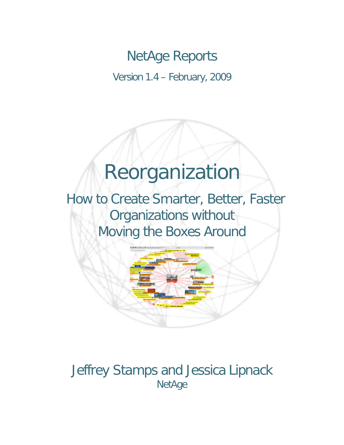## NetAge Reports

Version 1.4 – February, 2009

# Reorganization

 How to Create Smarter, Better, Faster Organizations without Moving the Boxes Around



### Jeffrey Stamps and Jessica Lipnack **NetAge**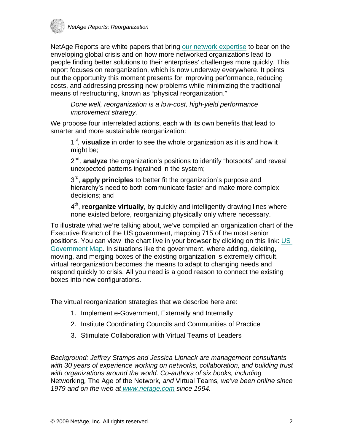

NetAge Reports are white papers that bring [our network expertise](http://www.netage.com/index.html) to bear on the enveloping global crisis and on how more networked organizations lead to people finding better solutions to their enterprises' challenges more quickly. This report focuses on reorganization, which is now underway everywhere. It points out the opportunity this moment presents for improving performance, reducing costs, and addressing pressing new problems while minimizing the traditional means of restructuring, known as "physical reorganization."

*Done well, reorganization is a low-cost, high-yield performance improvement strategy.* 

We propose four interrelated actions, each with its own benefits that lead to smarter and more sustainable reorganization:

1st*,* **visualize** in order to see the whole organization as it is and how it might be;

2nd*,* **analyze** the organization's positions to identify "hotspots" and reveal unexpected patterns ingrained in the system;

 $3<sup>rd</sup>$ , **apply principles** to better fit the organization's purpose and hierarchy's need to both communicate faster and make more complex decisions; and

4th, **reorganize virtually**, by quickly and intelligently drawing lines where none existed before, reorganizing physically only where necessary.

To illustrate what we're talking about, we've compiled an organization chart of the Executive Branch of the US government, mapping 715 of the most senior positions. You can view the chart live in your browser by clicking on this link: [US](http://www.netage.com/economics/publish/USGov.html)  [Government Map.](http://www.netage.com/economics/publish/USGov.html) In situations like the government, where adding, deleting, moving, and merging boxes of the existing organization is extremely difficult, virtual reorganization becomes the means to adapt to changing needs and respond quickly to crisis. All you need is a good reason to connect the existing boxes into new configurations.

The virtual reorganization strategies that we describe here are:

- 1. Implement e-Government, Externally and Internally
- 2. Institute Coordinating Councils and Communities of Practice
- 3. Stimulate Collaboration with Virtual Teams of Leaders

*Background: Jeffrey Stamps and Jessica Lipnack are management consultants with 30 years of experience working on networks, collaboration, and building trust with organizations around the world. Co-authors of six books, including*  Networking*,* The Age of the Network*, and* Virtual Teams*, we've been online since 1979 and on the web at www.netage.com since 1994.*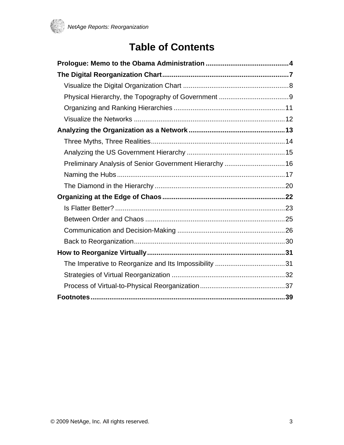

### **Table of Contents**

| Preliminary Analysis of Senior Government Hierarchy  16 |  |  |
|---------------------------------------------------------|--|--|
|                                                         |  |  |
|                                                         |  |  |
|                                                         |  |  |
|                                                         |  |  |
|                                                         |  |  |
|                                                         |  |  |
|                                                         |  |  |
|                                                         |  |  |
|                                                         |  |  |
|                                                         |  |  |
|                                                         |  |  |
|                                                         |  |  |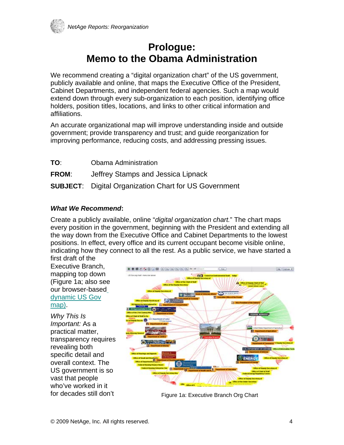<span id="page-3-0"></span>

### **Prologue: Memo to the Obama Administration**

We recommend creating a "digital organization chart" of the US government, publicly available and online, that maps the Executive Office of the President, Cabinet Departments, and independent federal agencies. Such a map would extend down through every sub-organization to each position, identifying office holders, position titles, locations, and links to other critical information and affiliations.

An accurate organizational map will improve understanding inside and outside government; provide transparency and trust; and guide reorganization for improving performance, reducing costs, and addressing pressing issues.

**TO**: Obama Administration **FROM**: Jeffrey Stamps and Jessica Lipnack **SUBJECT**: Digital Organization Chart for US Government

#### *What We Recommend***:**

Create a publicly available, online "*digital organization chart.*" The chart maps every position in the government, beginning with the President and extending all the way down from the Executive Office and Cabinet Departments to the lowest positions. In effect, every office and its current occupant become visible online, indicating how they connect to all the rest. As a public service, we have started a

first draft of the Executive Branch, mapping top down (Figure 1a; also se[e](http://www.netage.com/economics/publish/USGov.html) our browser-based [dynamic US Gov](http://www.netage.com/economics/publish/USGov.html) map).

*Why This Is Important:* As a practical matter, transparency requires revealing both specific detail and overall context. The US government is so vast that people who've worked in it for decades still don't



Figure 1a: Executive Branch Org Chart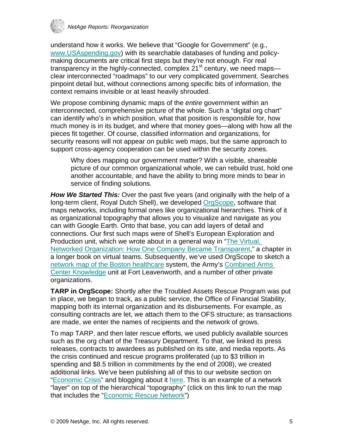

understand how it works. We believe that "Google for Government" (e.g., [www.USAspending.gov](http://www.usaspending.gov/)) with its searchable databases of funding and policymaking documents are critical first steps but they're not enough. For real transparency in the highly-connected, complex  $21<sup>st</sup>$  century, we need maps clear interconnected "roadmaps" to our very complicated government. Searches pinpoint detail but, without connections among specific bits of information, the context remains invisible or at least heavily shrouded.

We propose combining dynamic maps of the *entire* government within an interconnected, comprehensive picture of the whole. Such a "digital org chart" can identify who's in which position, what that position is responsible for, how much money is in its budget, and where that money goes—along with how all the pieces fit together. Of course, classified information and organizations, for security reasons will not appear on public web maps, but the same approach to support cross-agency cooperation can be used within the security zones.

Why does mapping our government matter? With a visible, shareable picture of our common organizational whole, we can rebuild trust, hold one another accountable, and have the ability to bring more minds to bear in service of finding solutions.

*How We Started This:* Over the past five years (and originally with the help of a long-term client, Royal Dutch Shell), we developed [OrgScope](http://www.netage.com/orgscope/index.html), software that maps networks, including formal ones like organizational hierarchies. Think of it as organizational topography that allows you to visualize and navigate as you can with Google Earth. Onto that base, you can add layers of detail and connections. Our first such maps were of Shell's European Exploration and Production unit, which we wrote about in a general way in "[The Virtual,](http://www.netage.com/pub/articles/articles%20-%20new/Virtual%20Networked%20Org_pg-proof.pdf)  [Networked Organization: How One Company Became Transparent](http://www.netage.com/pub/articles/articles%20-%20new/Virtual%20Networked%20Org_pg-proof.pdf)," a chapter in a longer book on virtual teams. Subsequently, we've used OrgScope to sketch a [network map of the Boston healthcare](http://www.netage.com/healthcare/index.html) system, the Army's [Combined Arms](http://usacac.army.mil/cac2/cac-k/index.asp)  [Center Knowledge](http://usacac.army.mil/cac2/cac-k/index.asp) unit at Fort Leavenworth, and a number of other private organizations.

**TARP in OrgScope:** Shortly after the Troubled Assets Rescue Program was put in place, we began to track, as a public service, the Office of Financial Stability, mapping both its internal organization and its disbursements. For example, as consulting contracts are let, we attach them to the OFS structure; as transactions are made, we enter the names of recipients and the network of grows.

To map TARP, and then later rescue efforts, we used publicly available sources such as the org chart of the Treasury Department. To that, we linked its press releases, contracts to awardees as published on its site, and media reports. As the crisis continued and rescue programs proliferated (up to \$3 trillion in spending and \$8.5 trillion in commitments by the end of 2008), we created additional links. We've been publishing all of this to our website section on "[Economic Crisis"](http://www.netage.com/economics/index-finCrisis.html) and blogging about it [here](http://endlessknots.netage.com/endlessknots/office_of_financial_stability/). This is an example of a network "layer" on top of the hierarchical "topography" (click on this link to run the map that includes the "[Economic Rescue Network"](http://www.netage.com/economics/publish/USGov-rescue.html))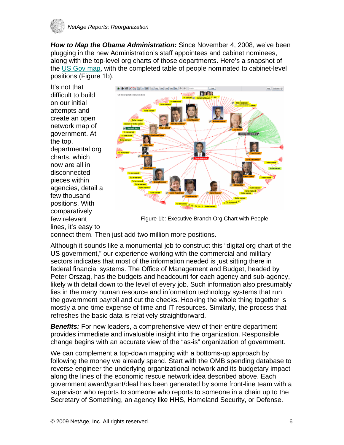

*How to Map the Obama Administration:* Since November 4, 2008, we've been plugging in the new Administration's staff appointees and cabinet nominees, along with the top-level org charts of those departments. Here's a snapshot of the [US Gov map,](http://www.netage.com/economics/publish/USGov.html) with the completed table of people nominated to cabinet-level positions (Figure 1b).

It's not that difficult to build on our initial attempts and create an open network map of government. At the top, departmental org charts, which now are all in disconnected pieces within agencies, detail a few thousand positions. With comparatively few relevant lines, it's easy to



Figure 1b: Executive Branch Org Chart with People

connect them. Then just add two million more positions.

Although it sounds like a monumental job to construct this "digital org chart of the US government," our experience working with the commercial and military sectors indicates that most of the information needed is just sitting there in federal financial systems. The Office of Management and Budget, headed by Peter Orszag, has the budgets and headcount for each agency and sub-agency, likely with detail down to the level of every job. Such information also presumably lies in the many human resource and information technology systems that run the government payroll and cut the checks. Hooking the whole thing together is mostly a one-time expense of time and IT resources. Similarly, the process that refreshes the basic data is relatively straightforward.

**Benefits:** For new leaders, a comprehensive view of their entire department provides immediate and invaluable insight into the organization. Responsible change begins with an accurate view of the "as-is" organization of government.

We can complement a top-down mapping with a bottoms-up approach by following the money we already spend. Start with the OMB spending database to reverse-engineer the underlying organizational network and its budgetary impact along the lines of the economic rescue network idea described above. Each government award/grant/deal has been generated by some front-line team with a supervisor who reports to someone who reports to someone in a chain up to the Secretary of Something, an agency like HHS, Homeland Security, or Defense.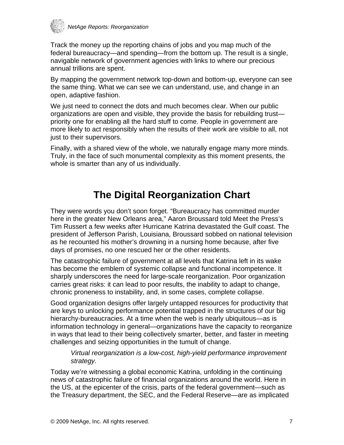<span id="page-6-0"></span>

Track the money up the reporting chains of jobs and you map much of the federal bureaucracy—and spending—from the bottom up. The result is a single, navigable network of government agencies with links to where our precious annual trillions are spent.

By mapping the government network top-down and bottom-up, everyone can see the same thing. What we can see we can understand, use, and change in an open, adaptive fashion.

We just need to connect the dots and much becomes clear. When our public organizations are open and visible, they provide the basis for rebuilding trust priority one for enabling all the hard stuff to come. People in government are more likely to act responsibly when the results of their work are visible to all, not just to their supervisors.

Finally, with a shared view of the whole, we naturally engage many more minds. Truly, in the face of such monumental complexity as this moment presents, the whole is smarter than any of us individually.

### **The Digital Reorganization Chart**

They were words you don't soon forget. "Bureaucracy has committed murder here in the greater New Orleans area," Aaron Broussard told Meet the Press's Tim Russert a few weeks after Hurricane Katrina devastated the Gulf coast. The president of Jefferson Parish, Louisiana, Broussard sobbed on national television as he recounted his mother's drowning in a nursing home because, after five days of promises, no one rescued her or the other residents.

The catastrophic failure of government at all levels that Katrina left in its wake has become the emblem of systemic collapse and functional incompetence. It sharply underscores the need for large-scale reorganization. Poor organization carries great risks: it can lead to poor results, the inability to adapt to change, chronic proneness to instability, and, in some cases, complete collapse.

Good organization designs offer largely untapped resources for productivity that are keys to unlocking performance potential trapped in the structures of our big hierarchy-bureaucracies. At a time when the web is nearly ubiquitous—as is information technology in general—organizations have the capacity to reorganize in ways that lead to their being collectively smarter, better, and faster in meeting challenges and seizing opportunities in the tumult of change.

*Virtual reorganization is a low-cost, high-yield performance improvement strategy.* 

Today we're witnessing a global economic Katrina, unfolding in the continuing news of catastrophic failure of financial organizations around the world. Here in the US, at the epicenter of the crisis, parts of the federal government—such as the Treasury department, the SEC, and the Federal Reserve—are as implicated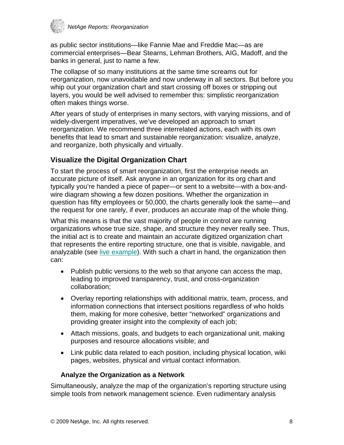<span id="page-7-0"></span>

as public sector institutions—like Fannie Mae and Freddie Mac—as are commercial enterprises—Bear Stearns, Lehman Brothers, AIG, Madoff, and the banks in general, just to name a few.

The collapse of so many institutions at the same time screams out for reorganization, now unavoidable and now underway in all sectors. But before you whip out your organization chart and start crossing off boxes or stripping out layers, you would be well advised to remember this: simplistic reorganization often makes things worse.

After years of study of enterprises in many sectors, with varying missions, and of widely-divergent imperatives, we've developed an approach to smart reorganization. We recommend three interrelated actions, each with its own benefits that lead to smart and sustainable reorganization: visualize, analyze, and reorganize, both physically and virtually.

### **Visualize the Digital Organization Chart**

To start the process of smart reorganization, first the enterprise needs an accurate picture of itself. Ask anyone in an organization for its org chart and typically you're handed a piece of paper—or sent to a website—with a box-andwire diagram showing a few dozen positions. Whether the organization in question has fifty employees or 50,000, the charts generally look the same—and the request for one rarely, if ever, produces an accurate map of the whole thing.

What this means is that the vast majority of people in control are running organizations whose true size, shape, and structure they never really see. Thus, the initial act is to create and maintain an accurate digitized organization chart that represents the entire reporting structure, one that is visible, navigable, and analyzable (see [live example](http://www.netage.com/economics/publish/USGov.html)). With such a chart in hand, the organization then can:

- Publish public versions to the web so that anyone can access the map, leading to improved transparency, trust, and cross-organization collaboration;
- Overlay reporting relationships with additional matrix, team, process, and information connections that intersect positions regardless of who holds them, making for more cohesive, better "networked" organizations and providing greater insight into the complexity of each job;
- Attach missions, goals, and budgets to each organizational unit, making purposes and resource allocations visible; and
- Link public data related to each position, including physical location, wiki pages, websites, physical and virtual contact information.

#### **Analyze the Organization as a Network**

Simultaneously, analyze the map of the organization's reporting structure using simple tools from network management science. Even rudimentary analysis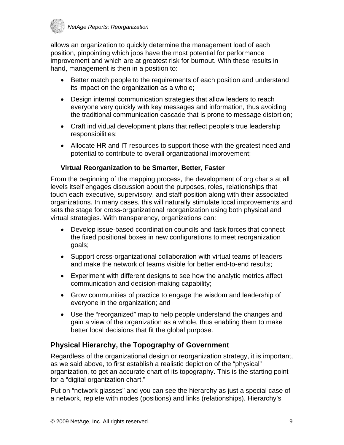<span id="page-8-0"></span>

allows an organization to quickly determine the management load of each position, pinpointing which jobs have the most potential for performance improvement and which are at greatest risk for burnout. With these results in hand, management is then in a position to:

- Better match people to the requirements of each position and understand its impact on the organization as a whole;
- Design internal communication strategies that allow leaders to reach everyone very quickly with key messages and information, thus avoiding the traditional communication cascade that is prone to message distortion;
- Craft individual development plans that reflect people's true leadership responsibilities;
- Allocate HR and IT resources to support those with the greatest need and potential to contribute to overall organizational improvement;

#### **Virtual Reorganization to be Smarter, Better, Faster**

From the beginning of the mapping process, the development of org charts at all levels itself engages discussion about the purposes, roles, relationships that touch each executive, supervisory, and staff position along with their associated organizations. In many cases, this will naturally stimulate local improvements and sets the stage for cross-organizational reorganization using both physical and virtual strategies. With transparency, organizations can:

- Develop issue-based coordination councils and task forces that connect the fixed positional boxes in new configurations to meet reorganization goals;
- Support cross-organizational collaboration with virtual teams of leaders and make the network of teams visible for better end-to-end results;
- Experiment with different designs to see how the analytic metrics affect communication and decision-making capability;
- Grow communities of practice to engage the wisdom and leadership of everyone in the organization; and
- Use the "reorganized" map to help people understand the changes and gain a view of the organization as a whole, thus enabling them to make better local decisions that fit the global purpose.

### **Physical Hierarchy, the Topography of Government**

Regardless of the organizational design or reorganization strategy, it is important, as we said above, to first establish a realistic depiction of the "physical" organization, to get an accurate chart of its topography. This is the starting point for a "digital organization chart."

Put on "network glasses" and you can see the hierarchy as just a special case of a network, replete with nodes (positions) and links (relationships). Hierarchy's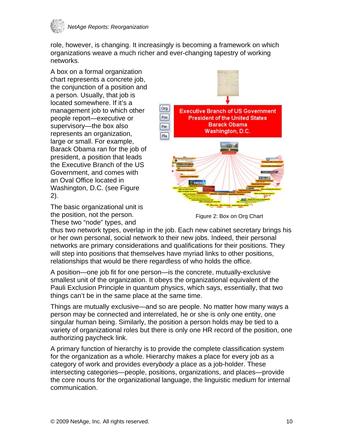

role, however, is changing. It increasingly is becoming a framework on which organizations weave a much richer and ever-changing tapestry of working networks.

A box on a formal organization chart represents a concrete job, the conjunction of a position and a person. Usually, that job is located somewhere. If it's a management job to which other people report—executive or supervisory—the box also represents an organization, large or small. For example, Barack Obama ran for the job of president, a position that leads the Executive Branch of the US Government, and comes with an Oval Office located in Washington, D.C. (see Figure 2).

The basic organizational unit is the position, not the person. These two "node" types, and



Figure 2: Box on Org Chart

thus two network types, overlap in the job. Each new cabinet secretary brings his or her own personal, social network to their new jobs. Indeed, their personal networks are primary considerations and qualifications for their positions. They will step into positions that themselves have myriad links to other positions, relationships that would be there regardless of who holds the office.

A position—one job fit for one person—is the concrete, mutually-exclusive smallest unit of the organization. It obeys the organizational equivalent of the Pauli Exclusion Principle in quantum physics, which says, essentially, that two things can't be in the same place at the same time.

Things are mutually exclusive—and so are people. No matter how many ways a person may be connected and interrelated, he or she is only one entity, one singular human being. Similarly, the position a person holds may be tied to a variety of organizational roles but there is only one HR record of the position, one authorizing paycheck link.

A primary function of hierarchy is to provide the complete classification system for the organization as a whole. Hierarchy makes a place for every job as a category of work and provides every*body* a place as a job-holder. These intersecting categories—people, positions, organizations, and places—provide the core nouns for the organizational language, the linguistic medium for internal communication.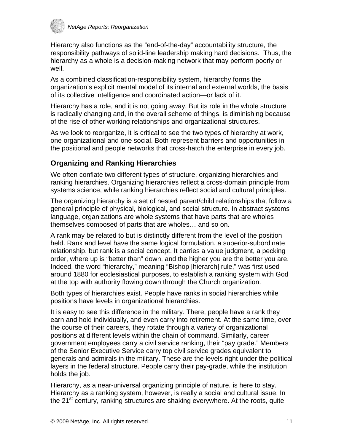<span id="page-10-0"></span>

Hierarchy also functions as the "end-of-the-day" accountability structure, the responsibility pathways of solid-line leadership making hard decisions. Thus, the hierarchy as a whole is a decision-making network that may perform poorly or well.

As a combined classification-responsibility system, hierarchy forms the organization's explicit mental model of its internal and external worlds, the basis of its collective intelligence and coordinated action—or lack of it.

Hierarchy has a role, and it is not going away. But its role in the whole structure is radically changing and, in the overall scheme of things, is diminishing because of the rise of other working relationships and organizational structures.

As we look to reorganize, it is critical to see the two types of hierarchy at work, one organizational and one social. Both represent barriers and opportunities in the positional and people networks that cross-hatch the enterprise in every job.

### **Organizing and Ranking Hierarchies**

We often conflate two different types of structure, organizing hierarchies and ranking hierarchies. Organizing hierarchies reflect a cross-domain principle from systems science, while ranking hierarchies reflect social and cultural principles.

The organizing hierarchy is a set of nested parent/child relationships that follow a general principle of physical, biological, and social structure. In abstract systems language, organizations are whole systems that have parts that are wholes themselves composed of parts that are wholes… and so on.

A rank may be related to but is distinctly different from the level of the position held. Rank and level have the same logical formulation, a superior-subordinate relationship, but rank is a social concept. It carries a value judgment, a pecking order, where up is "better than" down, and the higher you are the better you are. Indeed, the word "hierarchy," meaning "Bishop [hierarch] rule," was first used around 1880 for ecclesiastical purposes, to establish a ranking system with God at the top with authority flowing down through the Church organization.

Both types of hierarchies exist. People have ranks in social hierarchies while positions have levels in organizational hierarchies.

It is easy to see this difference in the military. There, people have a rank they earn and hold individually, and even carry into retirement. At the same time, over the course of their careers, they rotate through a variety of organizational positions at different levels within the chain of command. Similarly, career government employees carry a civil service ranking, their "pay grade." Members of the Senior Executive Service carry top civil service grades equivalent to generals and admirals in the military. These are the levels right under the political layers in the federal structure. People carry their pay-grade, while the institution holds the job.

Hierarchy, as a near-universal organizing principle of nature, is here to stay. Hierarchy as a ranking system, however, is really a social and cultural issue. In the 21<sup>st</sup> century, ranking structures are shaking everywhere. At the roots, quite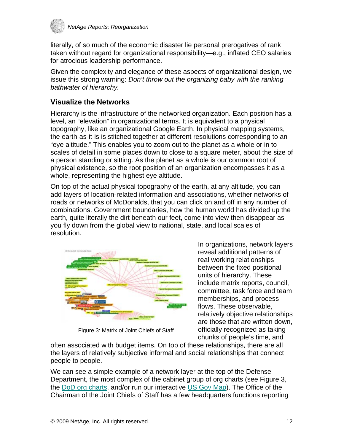<span id="page-11-0"></span>

literally, of so much of the economic disaster lie personal prerogatives of rank taken without regard for organizational responsibility—e.g., inflated CEO salaries for atrocious leadership performance.

Given the complexity and elegance of these aspects of organizational design, we issue this strong warning: *Don't throw out the organizing baby with the ranking bathwater of hierarchy.*

### **Visualize the Networks**

Hierarchy is the infrastructure of the networked organization. Each position has a level, an "elevation" in organizational terms. It is equivalent to a physical topography, like an organizational Google Earth. In physical mapping systems, the earth-as-it-is is stitched together at different resolutions corresponding to an "eye altitude." This enables you to zoom out to the planet as a whole or in to scales of detail in some places down to close to a square meter, about the size of a person standing or sitting. As the planet as a whole is our common root of physical existence, so the root position of an organization encompasses it as a whole, representing the highest eye altitude.

On top of the actual physical topography of the earth, at any altitude, you can add layers of location-related information and associations, whether networks of roads or networks of McDonalds, that you can click on and off in any number of combinations. Government boundaries, how the human world has divided up the earth, quite literally the dirt beneath our feet, come into view then disappear as you fly down from the global view to national, state, and local scales of resolution.



Figure 3: Matrix of Joint Chiefs of Staff

In organizations, network layers reveal additional patterns of real working relationships between the fixed positional units of hierarchy. These include matrix reports, council, committee, task force and team memberships, and process flows. These observable, relatively objective relationships are those that are written down, officially recognized as taking chunks of people's time, and

often associated with budget items. On top of these relationships, there are all the layers of relatively subjective informal and social relationships that connect people to people.

We can see a simple example of a network layer at the top of the Defense Department, the most complex of the cabinet group of org charts (see Figure 3, the [DoD org charts,](http://www.netage.com/economics/gov/USDefense-chart-top.html) and/or run our interactive [US Gov Map\)](http://www.netage.com/economics/publish/USGov.html). The Office of the Chairman of the Joint Chiefs of Staff has a few headquarters functions reporting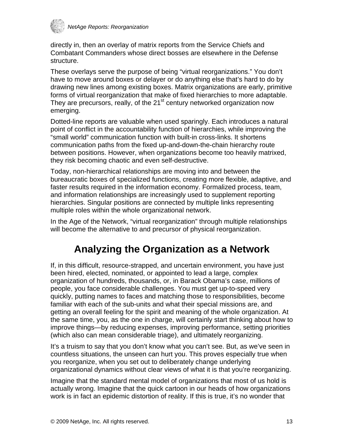<span id="page-12-0"></span>

directly in, then an overlay of matrix reports from the Service Chiefs and Combatant Commanders whose direct bosses are elsewhere in the Defense structure.

These overlays serve the purpose of being "virtual reorganizations." You don't have to move around boxes or delayer or do anything else that's hard to do by drawing new lines among existing boxes. Matrix organizations are early, primitive forms of virtual reorganization that make of fixed hierarchies to more adaptable. They are precursors, really, of the 21<sup>st</sup> century networked organization now emerging.

Dotted-line reports are valuable when used sparingly. Each introduces a natural point of conflict in the accountability function of hierarchies, while improving the "small world" communication function with built-in cross-links. It shortens communication paths from the fixed up-and-down-the-chain hierarchy route between positions. However, when organizations become too heavily matrixed, they risk becoming chaotic and even self-destructive.

Today, non-hierarchical relationships are moving into and between the bureaucratic boxes of specialized functions, creating more flexible, adaptive, and faster results required in the information economy. Formalized process, team, and information relationships are increasingly used to supplement reporting hierarchies. Singular positions are connected by multiple links representing multiple roles within the whole organizational network.

In the Age of the Network, "virtual reorganization" through multiple relationships will become the alternative to and precursor of physical reorganization.

### **Analyzing the Organization as a Network**

If, in this difficult, resource-strapped, and uncertain environment, you have just been hired, elected, nominated, or appointed to lead a large, complex organization of hundreds, thousands, or, in Barack Obama's case, millions of people, you face considerable challenges. You must get up-to-speed very quickly, putting names to faces and matching those to responsibilities, become familiar with each of the sub-units and what their special missions are, and getting an overall feeling for the spirit and meaning of the whole organization. At the same time, you, as the one in charge, will certainly start thinking about how to improve things—by reducing expenses, improving performance, setting priorities (which also can mean considerable triage), and ultimately reorganizing.

It's a truism to say that you don't know what you can't see. But, as we've seen in countless situations, the unseen can hurt you. This proves especially true when you reorganize, when you set out to deliberately change underlying organizational dynamics without clear views of what it is that you're reorganizing.

Imagine that the standard mental model of organizations that most of us hold is actually wrong. Imagine that the quick cartoon in our heads of how organizations work is in fact an epidemic distortion of reality. If this is true, it's no wonder that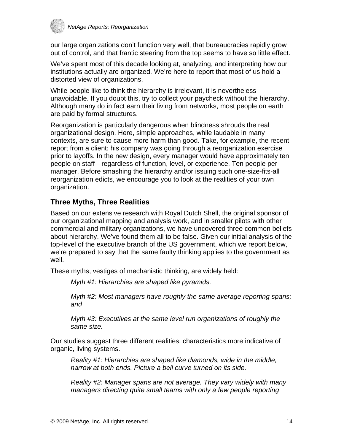<span id="page-13-0"></span>

our large organizations don't function very well, that bureaucracies rapidly grow out of control, and that frantic steering from the top seems to have so little effect.

We've spent most of this decade looking at, analyzing, and interpreting how our institutions actually are organized. We're here to report that most of us hold a distorted view of organizations.

While people like to think the hierarchy is irrelevant, it is nevertheless unavoidable. If you doubt this, try to collect your paycheck without the hierarchy. Although many do in fact earn their living from networks, most people on earth are paid by formal structures.

Reorganization is particularly dangerous when blindness shrouds the real organizational design. Here, simple approaches, while laudable in many contexts, are sure to cause more harm than good. Take, for example, the recent report from a client: his company was going through a reorganization exercise prior to layoffs. In the new design, every manager would have approximately ten people on staff—regardless of function, level, or experience. Ten people per manager. Before smashing the hierarchy and/or issuing such one-size-fits-all reorganization edicts, we encourage you to look at the realities of your own organization.

### **Three Myths, Three Realities**

Based on our extensive research with Royal Dutch Shell, the original sponsor of our organizational mapping and analysis work, and in smaller pilots with other commercial and military organizations, we have uncovered three common beliefs about hierarchy. We've found them all to be false. Given our initial analysis of the top-level of the executive branch of the US government, which we report below, we're prepared to say that the same faulty thinking applies to the government as well.

These myths, vestiges of mechanistic thinking, are widely held:

*Myth #1: Hierarchies are shaped like pyramids.* 

*Myth #2: Most managers have roughly the same average reporting spans; and* 

*Myth #3: Executives at the same level run organizations of roughly the same size.* 

Our studies suggest three different realities, characteristics more indicative of organic, living systems.

*Reality #1: Hierarchies are shaped like diamonds, wide in the middle, narrow at both ends. Picture a bell curve turned on its side.* 

*Reality #2: Manager spans are not average. They vary widely with many managers directing quite small teams with only a few people reporting*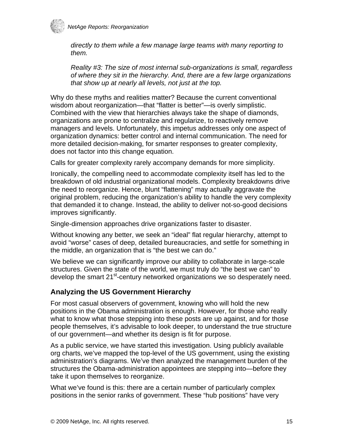<span id="page-14-0"></span>

*directly to them while a few manage large teams with many reporting to them.* 

*Reality #3: The size of most internal sub-organizations is small, regardless of where they sit in the hierarchy. And, there are a few large organizations that show up at nearly all levels, not just at the top.* 

Why do these myths and realities matter? Because the current conventional wisdom about reorganization—that "flatter is better"—is overly simplistic. Combined with the view that hierarchies always take the shape of diamonds, organizations are prone to centralize and regularize, to reactively remove managers and levels. Unfortunately, this impetus addresses only one aspect of organization dynamics: better control and internal communication. The need for more detailed decision-making, for smarter responses to greater complexity, does not factor into this change equation.

Calls for greater complexity rarely accompany demands for more simplicity.

Ironically, the compelling need to accommodate complexity itself has led to the breakdown of old industrial organizational models. Complexity breakdowns drive the need to reorganize. Hence, blunt "flattening" may actually aggravate the original problem, reducing the organization's ability to handle the very complexity that demanded it to change. Instead, the ability to deliver not-so-good decisions improves significantly.

Single-dimension approaches drive organizations faster to disaster.

Without knowing any better, we seek an "ideal" flat regular hierarchy, attempt to avoid "worse" cases of deep, detailed bureaucracies, and settle for something in the middle, an organization that is "the best we can do."

We believe we can significantly improve our ability to collaborate in large-scale structures. Given the state of the world, we must truly do "the best we can" to develop the smart 21<sup>st</sup>-century networked organizations we so desperately need.

### **Analyzing the US Government Hierarchy**

For most casual observers of government, knowing who will hold the new positions in the Obama administration is enough. However, for those who really what to know what those stepping into these posts are up against, and for those people themselves, it's advisable to look deeper, to understand the true structure of our government—and whether its design is fit for purpose.

As a public service, we have started this investigation. Using publicly available org charts, we've mapped the top-level of the US government, using the existing administration's diagrams. We've then analyzed the management burden of the structures the Obama-administration appointees are stepping into—before they take it upon themselves to reorganize.

What we've found is this: there are a certain number of particularly complex positions in the senior ranks of government. These "hub positions" have very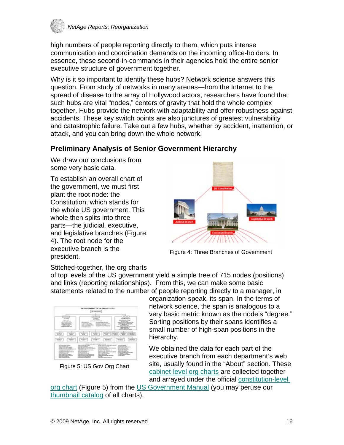<span id="page-15-0"></span>

high numbers of people reporting directly to them, which puts intense communication and coordination demands on the incoming office-holders. In essence, these second-in-commands in their agencies hold the entire senior executive structure of government together.

Why is it so important to identify these hubs? Network science answers this question. From study of networks in many arenas—from the Internet to the spread of disease to the array of Hollywood actors, researchers have found that such hubs are vital "nodes," centers of gravity that hold the whole complex together. Hubs provide the network with adaptability and offer robustness against accidents. These key switch points are also junctures of greatest vulnerability and catastrophic failure. Take out a few hubs, whether by accident, inattention, or attack, and you can bring down the whole network.

### **Preliminary Analysis of Senior Government Hierarchy**

We draw our conclusions from some very basic data.

To establish an overall chart of the government, we must first plant the root node: the Constitution, which stands for the whole US government. This whole then splits into three parts—the judicial, executive, and legislative branches (Figure 4). The root node for the executive branch is the president.



Figure 4: Three Branches of Government

Stitched-together, the org charts

of top levels of the US government yield a simple tree of 715 nodes (positions) and links (reporting relationships). From this, we can make some basic statements related to the number of people reporting directly to a manager, in



Figure 5: US Gov Org Chart

organization-speak, its span. In the terms of network science, the span is analogous to a very basic metric known as the node's "degree." Sorting positions by their spans identifies a small number of high-span positions in the hierarchy.

We obtained the data for each part of the executive branch from each department's web site, usually found in the "About" section. These [cabinet-level org charts](http://www.netage.com/economics/index-govcharts.html) are collected together and arrayed under the official [constitution-level](http://www.netage.com/economics/gov/Gov-chart-top.html) 

[org chart](http://www.netage.com/economics/gov/Gov-chart-top.html) (Figure 5) from the [US Government Manual](http://www.gpoaccess.gov/gmanual/index.html) (you may peruse our [thumbnail catalog](http://www.netage.com/economics/gov/catalog-org-charts.html) of all charts).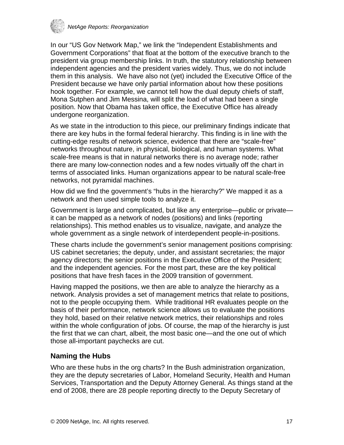<span id="page-16-0"></span>

In our "US Gov Network Map," we link the "Independent Establishments and Government Corporations" that float at the bottom of the executive branch to the president via group membership links. In truth, the statutory relationship between independent agencies and the president varies widely. Thus, we do not include them in this analysis. We have also not (yet) included the Executive Office of the President because we have only partial information about how these positions hook together. For example, we cannot tell how the dual deputy chiefs of staff, Mona Sutphen and Jim Messina, will split the load of what had been a single position. Now that Obama has taken office, the Executive Office has already undergone reorganization.

As we state in the introduction to this piece, our preliminary findings indicate that there are key hubs in the formal federal hierarchy. This finding is in line with the cutting-edge results of network science, evidence that there are "scale-free" networks throughout nature, in physical, biological, and human systems. What scale-free means is that in natural networks there is no average node; rather there are many low-connection nodes and a few nodes virtually off the chart in terms of associated links. Human organizations appear to be natural scale-free networks, not pyramidal machines.

How did we find the government's "hubs in the hierarchy?" We mapped it as a network and then used simple tools to analyze it.

Government is large and complicated, but like any enterprise—public or private it can be mapped as a network of nodes (positions) and links (reporting relationships). This method enables us to visualize, navigate, and analyze the whole government as a single network of interdependent people-in-positions.

These charts include the government's senior management positions comprising: US cabinet secretaries; the deputy, under, and assistant secretaries; the major agency directors; the senior positions in the Executive Office of the President; and the independent agencies. For the most part, these are the key political positions that have fresh faces in the 2009 transition of government.

Having mapped the positions, we then are able to analyze the hierarchy as a network. Analysis provides a set of management metrics that relate to positions, not to the people occupying them. While traditional HR evaluates people on the basis of their performance, network science allows us to evaluate the positions they hold, based on their relative network metrics, their relationships and roles within the whole configuration of jobs. Of course, the map of the hierarchy is just the first that we can chart, albeit, the most basic one—and the one out of which those all-important paychecks are cut.

### **Naming the Hubs**

Who are these hubs in the org charts? In the Bush administration organization, they are the deputy secretaries of Labor, Homeland Security, Health and Human Services, Transportation and the Deputy Attorney General. As things stand at the end of 2008, there are 28 people reporting directly to the Deputy Secretary of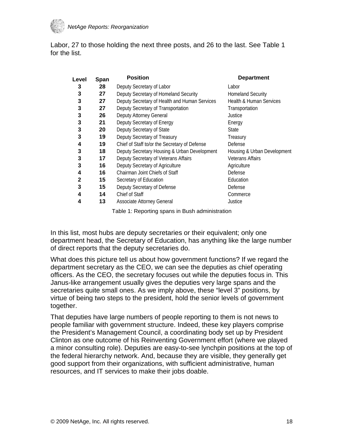

Labor, 27 to those holding the next three posts, and 26 to the last. See Table 1 for the list.

| Level | Span | <b>Position</b>                               | <b>Department</b>                  |
|-------|------|-----------------------------------------------|------------------------------------|
| 3     | 28   | Deputy Secretary of Labor                     | Labor                              |
| 3     | 27   | Deputy Secretary of Homeland Security         | <b>Homeland Security</b>           |
| 3     | 27   | Deputy Secretary of Health and Human Services | <b>Health &amp; Human Services</b> |
| 3     | 27   | Deputy Secretary of Transportation            | Transportation                     |
| 3     | 26   | Deputy Attorney General                       | Justice                            |
| 3     | 21   | Deputy Secretary of Energy                    | Energy                             |
| 3     | 20   | Deputy Secretary of State                     | State                              |
| 3     | 19   | Deputy Secretary of Treasury                  | Treasury                           |
| 4     | 19   | Chief of Staff to/or the Secretary of Defense | Defense                            |
| 3     | 18   | Deputy Secretary Housing & Urban Development  | Housing & Urban Development        |
| 3     | 17   | Deputy Secretary of Veterans Affairs          | <b>Veterans Affairs</b>            |
| 3     | 16   | Deputy Secretary of Agriculture               | Agriculture                        |
| 4     | 16   | Chairman Joint Chiefs of Staff                | Defense                            |
| 2     | 15   | Secretary of Education                        | Education                          |
| 3     | 15   | Deputy Secretary of Defense                   | Defense                            |
| 4     | 14   | Chief of Staff                                | Commerce                           |
| 4     | 13   | Associate Attorney General                    | Justice                            |
|       |      |                                               |                                    |

Table 1: Reporting spans in Bush administration

In this list, most hubs are deputy secretaries or their equivalent; only one department head, the Secretary of Education, has anything like the large number of direct reports that the deputy secretaries do.

What does this picture tell us about how government functions? If we regard the department secretary as the CEO, we can see the deputies as chief operating officers. As the CEO, the secretary focuses out while the deputies focus in. This Janus-like arrangement usually gives the deputies very large spans and the secretaries quite small ones. As we imply above, these "level 3" positions, by virtue of being two steps to the president, hold the senior levels of government together.

That deputies have large numbers of people reporting to them is not news to people familiar with government structure. Indeed, these key players comprise the President's Management Council, a coordinating body set up by President Clinton as one outcome of his Reinventing Government effort (where we played a minor consulting role). Deputies are easy-to-see lynchpin positions at the top of the federal hierarchy network. And, because they are visible, they generally get good support from their organizations, with sufficient administrative, human resources, and IT services to make their jobs doable.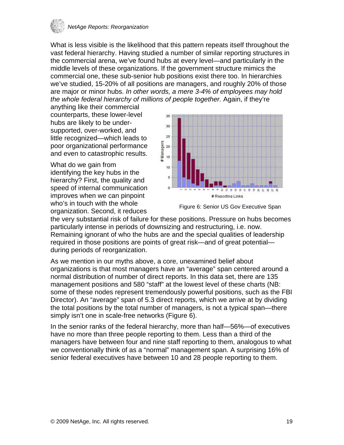

What is less visible is the likelihood that this pattern repeats itself throughout the vast federal hierarchy. Having studied a number of similar reporting structures in the commercial arena, we've found hubs at every level—and particularly in the middle levels of these organizations. If the government structure mimics the commercial one, these sub-senior hub positions exist there too. In hierarchies we've studied, 15-20% of all positions are managers, and roughly 20% of those are major or minor hubs. *In other words, a mere 3-4% of employees may hold the whole federal hierarchy of millions of people together.* Again, if they're

anything like their commercial counterparts, these lower-level hubs are likely to be undersupported, over-worked, and little recognized—which leads to poor organizational performance and even to catastrophic results.

What do we gain from identifying the key hubs in the hierarchy? First, the quality and speed of internal communication improves when we can pinpoint who's in touch with the whole organization. Second, it reduces



Figure 6: Senior US Gov Executive Span

the very substantial risk of failure for these positions. Pressure on hubs becomes particularly intense in periods of downsizing and restructuring, i.e. now. Remaining ignorant of who the hubs are and the special qualities of leadership required in those positions are points of great risk—and of great potential during periods of reorganization.

As we mention in our myths above, a core, unexamined belief about organizations is that most managers have an "average" span centered around a normal distribution of number of direct reports. In this data set, there are 135 management positions and 580 "staff" at the lowest level of these charts (NB: some of these nodes represent tremendously powerful positions, such as the FBI Director). An "average" span of 5.3 direct reports, which we arrive at by dividing the total positions by the total number of managers, is not a typical span—there simply isn't one in scale-free networks (Figure 6).

In the senior ranks of the federal hierarchy, more than half—56%—of executives have no more than three people reporting to them. Less than a third of the managers have between four and nine staff reporting to them, analogous to what we conventionally think of as a "normal" management span. A surprising 16% of senior federal executives have between 10 and 28 people reporting to them.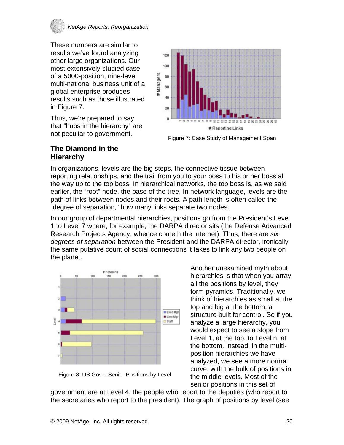<span id="page-19-0"></span>

These numbers are similar to results we've found analyzing other large organizations. Our most extensively studied case of a 5000-position, nine-level multi-national business unit of a global enterprise produces results such as those illustrated in Figure 7.

Thus, we're prepared to say that "hubs in the hierarchy" are not peculiar to government.



Figure 7: Case Study of Management Span

### **The Diamond in the Hierarchy**

In organizations, levels are the big steps, the connective tissue between reporting relationships, and the trail from you to your boss to his or her boss all the way up to the top boss. In hierarchical networks, the top boss is, as we said earlier, the "root" node, the base of the tree. In network language, levels are the path of links between nodes and their roots. A path length is often called the "degree of separation," how many links separate two nodes.

In our group of departmental hierarchies, positions go from the President's Level 1 to Level 7 where, for example, the DARPA director sits (the Defense Advanced Research Projects Agency, whence cometh the Internet). Thus, there are *six degrees of separation* between the President and the DARPA director, ironically the same putative count of social connections it takes to link any two people on the planet.



Another unexamined myth about hierarchies is that when you array all the positions by level, they form pyramids. Traditionally, we think of hierarchies as small at the top and big at the bottom, a structure built for control. So if you analyze a large hierarchy, you would expect to see a slope from Level 1, at the top, to Level n, at the bottom. Instead, in the multiposition hierarchies we have analyzed, we see a more normal curve, with the bulk of positions in the middle levels. Most of the senior positions in this set of

Figure 8: US Gov – Senior Positions by Level

government are at Level 4, the people who report to the deputies (who report to the secretaries who report to the president). The graph of positions by level (see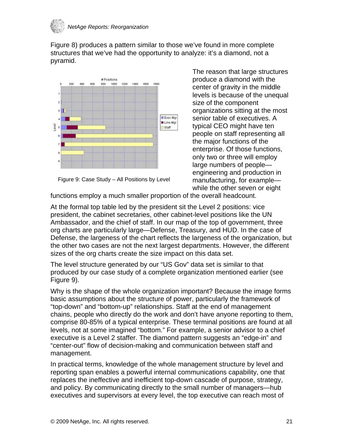

Figure 8) produces a pattern similar to those we've found in more complete structures that we've had the opportunity to analyze: it's a diamond, not a pyramid.



Figure 9: Case Study – All Positions by Level

The reason that large structures produce a diamond with the center of gravity in the middle levels is because of the unequal size of the component organizations sitting at the most senior table of executives. A typical CEO might have ten people on staff representing all the major functions of the enterprise. Of those functions, only two or three will employ large numbers of people engineering and production in manufacturing, for example while the other seven or eight

functions employ a much smaller proportion of the overall headcount.

At the formal top table led by the president sit the Level 2 positions: vice president, the cabinet secretaries, other cabinet-level positions like the UN Ambassador, and the chief of staff. In our map of the top of government, three org charts are particularly large—Defense, Treasury, and HUD. In the case of Defense, the largeness of the chart reflects the largeness of the organization, but the other two cases are not the next largest departments. However, the different sizes of the org charts create the size impact on this data set.

The level structure generated by our "US Gov" data set is similar to that produced by our case study of a complete organization mentioned earlier (see Figure 9).

Why is the shape of the whole organization important? Because the image forms basic assumptions about the structure of power, particularly the framework of "top-down" and "bottom-up" relationships. Staff at the end of management chains, people who directly do the work and don't have anyone reporting to them, comprise 80-85% of a typical enterprise. These terminal positions are found at all levels, not at some imagined "bottom." For example, a senior advisor to a chief executive is a Level 2 staffer. The diamond pattern suggests an "edge-in" and "center-out" flow of decision-making and communication between staff and management.

In practical terms, knowledge of the whole management structure by level and reporting span enables a powerful internal communications capability, one that replaces the ineffective and inefficient top-down cascade of purpose, strategy, and policy. By communicating directly to the small number of managers—hub executives and supervisors at every level, the top executive can reach most of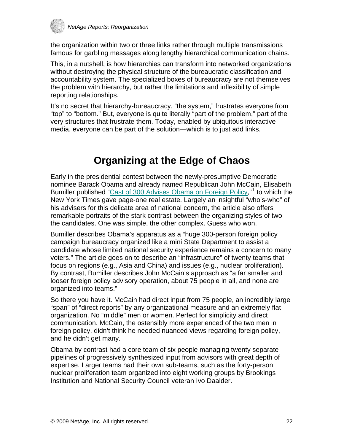<span id="page-21-0"></span>

the organization within two or three links rather through multiple transmissions famous for garbling messages along lengthy hierarchical communication chains.

This, in a nutshell, is how hierarchies can transform into networked organizations without destroying the physical structure of the bureaucratic classification and accountability system. The specialized boxes of bureaucracy are not themselves the problem with hierarchy, but rather the limitations and inflexibility of simple reporting relationships.

It's no secret that hierarchy-bureaucracy, "the system," frustrates everyone from "top" to "bottom." But, everyone is quite literally "part of the problem," part of the very structures that frustrate them. Today, enabled by ubiquitous interactive media, everyone can be part of the solution—which is to just add links.

### **Organizing at the Edge of Chaos**

Early in the presidential contest between the newly-presumptive Democratic nominee Barack Obama and already named Republican John McCain, Elisabeth Bumiller published ["Cast of 300 Advises Obama on Foreign Policy,](http://www.nytimes.com/2008/07/18/us/politics/18advisers.html?_r=1&scp=2&sq=bumiller%20+%20july%202008&st=cse)"<sup>[1](#page-38-1)</sup> to which the New York Times gave page-one real estate. Largely an insightful "who's-who" of his advisers for this delicate area of national concern, the article also offers remarkable portraits of the stark contrast between the organizing styles of two the candidates. One was simple, the other complex. Guess who won.

Bumiller describes Obama's apparatus as a "huge 300-person foreign policy campaign bureaucracy organized like a mini State Department to assist a candidate whose limited national security experience remains a concern to many voters." The article goes on to describe an "infrastructure" of twenty teams that focus on regions (e.g., Asia and China) and issues (e.g., nuclear proliferation). By contrast, Bumiller describes John McCain's approach as "a far smaller and looser foreign policy advisory operation, about 75 people in all, and none are organized into teams."

So there you have it. McCain had direct input from 75 people, an incredibly large "span" of "direct reports" by any organizational measure and an extremely flat organization. No "middle" men or women. Perfect for simplicity and direct communication. McCain, the ostensibly more experienced of the two men in foreign policy, didn't think he needed nuanced views regarding foreign policy, and he didn't get many.

Obama by contrast had a core team of six people managing twenty separate pipelines of progressively synthesized input from advisors with great depth of expertise. Larger teams had their own sub-teams, such as the forty-person nuclear proliferation team organized into eight working groups by Brookings Institution and National Security Council veteran Ivo Daalder.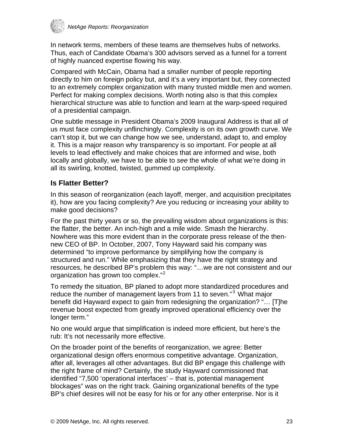<span id="page-22-0"></span>

In network terms, members of these teams are themselves hubs of networks. Thus, each of Candidate Obama's 300 advisors served as a funnel for a torrent of highly nuanced expertise flowing his way.

Compared with McCain, Obama had a smaller number of people reporting directly to him on foreign policy but, and it's a very important but, they connected to an extremely complex organization with many trusted middle men and women. Perfect for making complex decisions. Worth noting also is that this complex hierarchical structure was able to function and learn at the warp-speed required of a presidential campaign.

One subtle message in President Obama's 2009 Inaugural Address is that all of us must face complexity unflinchingly. Complexity is on its own growth curve. We can't stop it, but we can change how we see, understand, adapt to, and employ it. This is a major reason why transparency is so important. For people at all levels to lead effectively and make choices that are informed and wise, both locally and globally, we have to be able to *see* the whole of what we're doing in all its swirling, knotted, twisted, gummed up complexity.

### **Is Flatter Better?**

In this season of reorganization (each layoff, merger, and acquisition precipitates it), how are you facing complexity? Are you reducing or increasing your ability to make good decisions?

For the past thirty years or so, the prevailing wisdom about organizations is this: the flatter, the better. An inch-high and a mile wide. Smash the hierarchy. Nowhere was this more evident than in the corporate press release of the thennew CEO of BP. In October, 2007, Tony Hayward said his company was determined "to improve performance by simplifying how the company is structured and run." While emphasizing that they have the right strategy and resources, he described BP's problem this way: "…we are not consistent and our organization has grown too complex."<sup>[2](#page-38-2)</sup>

To remedy the situation, BP planed to adopt more standardized procedures and reduce the number of management layers from 11 to seven."<sup>3</sup> What major benefit did Hayward expect to gain from redesigning the organization? "… [T]he revenue boost expected from greatly improved operational efficiency over the longer term."

No one would argue that simplification is indeed more efficient, but here's the rub: It's not necessarily more effective.

On the broader point of the benefits of reorganization, we agree: Better organizational design offers enormous competitive advantage. Organization, after all, leverages all other advantages. But did BP engage this challenge with the right frame of mind? Certainly, the study Hayward commissioned that identified "7,500 'operational interfaces' – that is, potential management blockages" was on the right track. Gaining organizational benefits of the type BP's chief desires will not be easy for his or for any other enterprise. Nor is it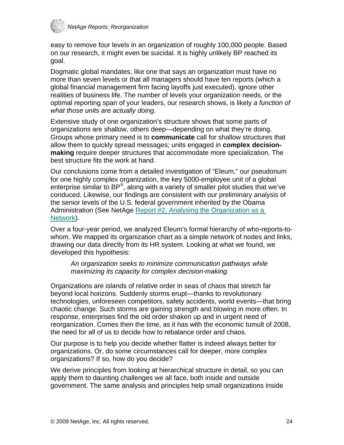

easy to remove four levels in an organization of roughly 100,000 people. Based on our research, it might even be suicidal. It is highly unlikely BP reached its goal.

Dogmatic global mandates, like one that says an organization must have no more than seven levels or that all managers should have ten reports (which a global financial management firm facing layoffs just executed), ignore other realities of business life. The number of levels your organization needs, or the optimal reporting span of your leaders, our research shows, is likely *a function of what those units are actually doing*.

Extensive study of one organization's structure shows that some parts of organizations are shallow, others deep—depending on what they're doing. Groups whose primary need is to **communicate** call for shallow structures that allow them to quickly spread messages; units engaged in **complex decisionmaking** require deeper structures that accommodate more specialization. The best structure fits the work at hand.

Our conclusions come from a detailed investigation of "Eleum," our pseudonum for one highly complex organization, the key 5000-employee unit of a global enterprise similar to  $BP^4$  $BP^4$ , along with a variety of smaller pilot studies that we've conduced. Likewise, our findings are consistent with our preliminary analysis of the senior levels of the U.S. federal government inherited by the Obama Administration (See NetAge Report #2, Analysing the Organization as a [Network\)](http://www.netage.com/pub/whpapers/NAReports/NARpt02-analysis.html).

Over a four-year period, we analyzed Eleum's formal hierarchy of who-reports-towhom. We mapped its organization chart as a simple network of nodes and links, drawing our data directly from its HR system. Looking at what we found, we developed this hypothesis:

*An organization seeks to minimize communication pathways while maximizing its capacity for complex decision-making.* 

Organizations are islands of relative order in seas of chaos that stretch far beyond local horizons. Suddenly storms erupt—thanks to revolutionary technologies, unforeseen competitors, safety accidents, world events—that bring chaotic change. Such storms are gaining strength and blowing in more often. In response, enterprises find the old order shaken up and in urgent need of reorganization. Comes then the time, as it has with the economic tumult of 2008, the need for all of us to decide how to rebalance order and chaos.

Our purpose is to help you decide whether flatter is indeed always better for organizations. Or, do some circumstances call for deeper, more complex organizations? If so, how do you decide?

We derive principles from looking at hierarchical structure in detail, so you can apply them to daunting challenges we all face, both inside and outside government. The same analysis and principles help small organizations inside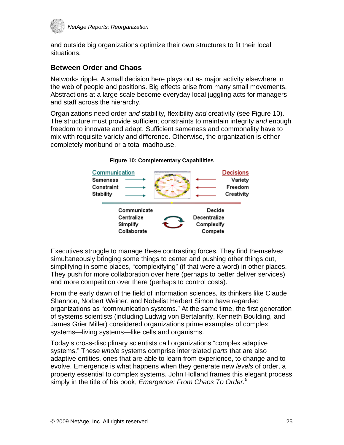<span id="page-24-0"></span>

and outside big organizations optimize their own structures to fit their local situations.

### **Between Order and Chaos**

Networks ripple. A small decision here plays out as major activity elsewhere in the web of people and positions. Big effects arise from many small movements. Abstractions at a large scale become everyday local juggling acts for managers and staff across the hierarchy.

Organizations need order *and* stability*,* flexibility *and* creativity (see Figure 10). The structure must provide sufficient constraints to maintain integrity *and* enough freedom to innovate and adapt. Sufficient sameness and commonality have to mix with requisite variety and difference. Otherwise, the organization is either completely moribund or a total madhouse.



#### **Figure 10: Complementary Capabilities**

Executives struggle to manage these contrasting forces. They find themselves simultaneously bringing some things to center and pushing other things out, simplifying in some places, "complexifying" (if that were a word) in other places. They push for more collaboration over here (perhaps to better deliver services) and more competition over there (perhaps to control costs).

From the early dawn of the field of information sciences, its thinkers like Claude Shannon, Norbert Weiner, and Nobelist Herbert Simon have regarded organizations as "communication systems." At the same time, the first generation of systems scientists (including Ludwig von Bertalanffy, Kenneth Boulding, and James Grier Miller) considered organizations prime examples of complex systems—living systems—like cells and organisms.

Today's cross-disciplinary scientists call organizations "complex adaptive systems." These *whole* systems comprise interrelated *parts* that are also adaptive entities, ones that are able to learn from experience, to change and to evolve. Emergence is what happens when they generate new *levels* of order, a property essential to complex systems. John Holland frames this elegant process simply in the title of his book, *Emergence: From Chaos To Order.*[5](#page-38-2)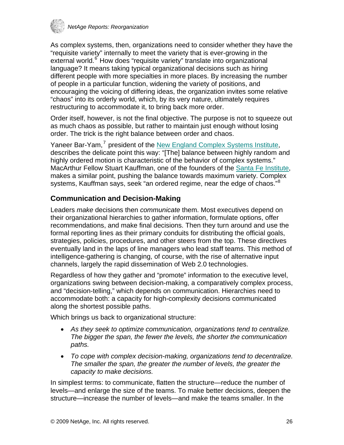<span id="page-25-0"></span>

As complex systems, then, organizations need to consider whether they have the "requisite variety" internally to meet the variety that is ever-growing in the external world.<sup>6</sup> How does "requisite variety" translate into organizational [language? It means taking typical organizational decisions such as hiring](#page-38-2)  [different people with more specialties in more places. By increasing the number](#page-38-2)  [of people in a particular function, widening the variety of positions, and](#page-38-2)  [encouraging the voicing of differing ideas, the organization invites some relative](#page-38-2)  ["chaos" into its orderly world, which, by its very nature, ultimately requires](#page-38-2)  [restructuring to accommodate it, to bring back more order.](#page-38-2) 

Order itself, however, is not the final objective. The purpose is not to squeeze out as much chaos as possible, but rather to maintain just enough without losing order. The trick is the right balance between order and chaos.

Yaneer Bar-Yam,<sup>7</sup> president of the [New England Complex Systems Institute,](http://www.necsi.org/) describes the delicate point this way: "[The] balance between highly random and highly ordered motion is characteristic of the behavior of complex systems." MacArthur Fellow Stuart Kauffman, one of the founders of the [Santa Fe Institute](http://www.santafe.edu/), makes a similar point, pushing the balance towards maximum variety. Complex systems, Kauffman says, seek "an ordered regime, near the edge of chaos."<sup>[8](#page-38-2)</sup>

### **Communication and Decision-Making**

Leaders *make* decisions then *communicate* them. Most executives depend on their organizational hierarchies to gather information, formulate options, offer recommendations, and make final decisions. Then they turn around and use the formal reporting lines as their primary conduits for distributing the official goals, strategies, policies, procedures, and other steers from the top. These directives eventually land in the laps of line managers who lead staff teams. This method of intelligence-gathering is changing, of course, with the rise of alternative input channels, largely the rapid dissemination of Web 2.0 technologies.

Regardless of how they gather and "promote" information to the executive level, organizations swing between decision-making, a comparatively complex process, and "decision-telling," which depends on communication. Hierarchies need to accommodate both: a capacity for high-complexity decisions communicated along the shortest possible paths.

Which brings us back to organizational structure:

- *As they seek to optimize communication, organizations tend to centralize. The bigger the span, the fewer the levels, the shorter the communication paths.*
- *To cope with complex decision-making, organizations tend to decentralize. The smaller the span, the greater the number of levels, the greater the capacity to make decisions.*

In simplest terms: to communicate, flatten the structure—reduce the number of levels—and enlarge the size of the teams. To make better decisions, deepen the structure—increase the number of levels—and make the teams smaller. In the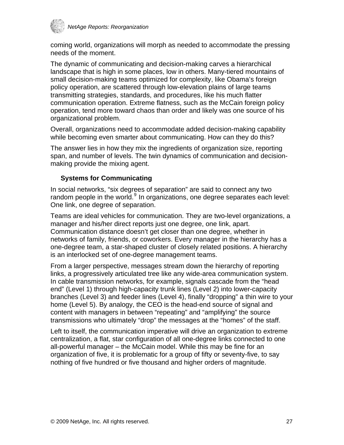

coming world, organizations will morph as needed to accommodate the pressing needs of the moment.

The dynamic of communicating and decision-making carves a hierarchical landscape that is high in some places, low in others. Many-tiered mountains of small decision-making teams optimized for complexity, like Obama's foreign policy operation, are scattered through low-elevation plains of large teams transmitting strategies, standards, and procedures, like his much flatter communication operation. Extreme flatness, such as the McCain foreign policy operation, tend more toward chaos than order and likely was one source of his organizational problem.

Overall, organizations need to accommodate added decision-making capability while becoming even smarter about communicating. How can they do this?

The answer lies in how they mix the ingredients of organization size, reporting span, and number of levels. The twin dynamics of communication and decisionmaking provide the mixing agent.

#### **Systems for Communicating**

In social networks, "six degrees of separation" are said to connect any two random people in the world.<sup>[9](#page-38-2)</sup> In organizations, one degree separates each level: One link, one degree of separation.

Teams are ideal vehicles for communication. They are two-level organizations, a manager and his/her direct reports just one degree, one link, apart. Communication distance doesn't get closer than one degree, whether in networks of family, friends, or coworkers. Every manager in the hierarchy has a one-degree team, a star-shaped cluster of closely related positions. A hierarchy is an interlocked set of one-degree management teams.

From a larger perspective, messages stream down the hierarchy of reporting links, a progressively articulated tree like any wide-area communication system. In cable transmission networks, for example, signals cascade from the "head end" (Level 1) through high-capacity trunk lines (Level 2) into lower-capacity branches (Level 3) and feeder lines (Level 4), finally "dropping" a thin wire to your home (Level 5). By analogy, the CEO is the head-end source of signal and content with managers in between "repeating" and "amplifying" the source transmissions who ultimately "drop" the messages at the "homes" of the staff.

Left to itself, the communication imperative will drive an organization to extreme centralization, a flat, star configuration of all one-degree links connected to one all-powerful manager – the McCain model. While this may be fine for an organization of five, it is problematic for a group of fifty or seventy-five, to say nothing of five hundred or five thousand and higher orders of magnitude.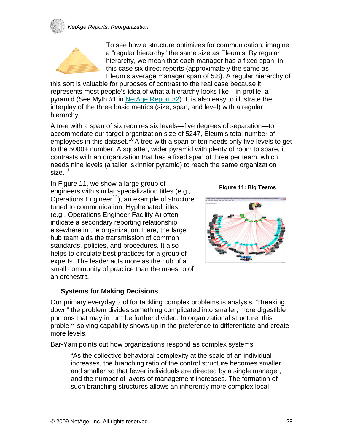### *NetAge Reports: Reorganization*



To see how a structure optimizes for communication, imagine a "regular hierarchy" the same size as Eleum's. By regular hierarchy, we mean that each manager has a fixed span, in this case six direct reports (approximately the same as Eleum's average manager span of 5.8). A regular hierarchy of

this sort is valuable for purposes of contrast to the real case because it represents most people's idea of what a hierarchy looks like—in profile, a pyramid (See Myth #1 in [NetAge Report #2](http://www.netage.com/pub/whpapers/NAReports/NARpt02-analysis.html)). It is also easy to illustrate the interplay of the three basic metrics (size, span, and level) with a regular hierarchy.

A tree with a span of six requires six levels—five degrees of separation—to accommodate our target organization size of 5247, Eleum's total number of employees in this dataset.<sup>10</sup>A tree with a span of ten needs only five levels to get [to the 5000+ number. A squatter, wider pyramid with plenty of room to spare, it](#page-38-2)  [contrasts with an organization that has a fixed span of three per team, which](#page-38-2)  [needs nine levels \(a taller, skinnier pyramid\) to reach the same organization](#page-38-2)  [size.](#page-38-2) $11$ 

In Figure 11, we show a large group of engineers with similar specialization titles (e.g., Operations Engineer<sup>[12](#page-38-2)</sup>), an example of structure tuned to communication. Hyphenated titles (e.g., Operations Engineer-Facility A) often indicate a secondary reporting relationship elsewhere in the organization. Here, the large hub team aids the transmission of common standards, policies, and procedures. It also helps to circulate best practices for a group of experts. The leader acts more as the hub of a small community of practice than the maestro of an orchestra.

**Figure 11: Big Teams** 



#### **Systems for Making Decisions**

Our primary everyday tool for tackling complex problems is analysis. "Breaking down" the problem divides something complicated into smaller, more digestible portions that may in turn be further divided. In organizational structure, this problem-solving capability shows up in the preference to differentiate and create more levels.

Bar-Yam points out how organizations respond as complex systems:

"As the collective behavioral complexity at the scale of an individual increases, the branching ratio of the control structure becomes smaller and smaller so that fewer individuals are directed by a single manager, and the number of layers of management increases. The formation of such branching structures allows an inherently more complex local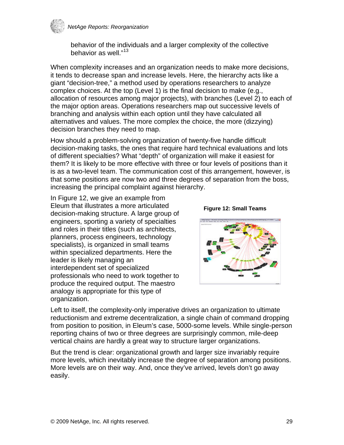

behavior of the individuals and a larger complexity of the collective behavior as well."<sup>[13](#page-38-2)</sup>

When complexity increases and an organization needs to make more decisions, it tends to decrease span and increase levels. Here, the hierarchy acts like a giant "decision-tree," a method used by operations researchers to analyze complex choices. At the top (Level 1) is the final decision to make (e.g., allocation of resources among major projects), with branches (Level 2) to each of the major option areas. Operations researchers map out successive levels of branching and analysis within each option until they have calculated all alternatives and values. The more complex the choice, the more (dizzying) decision branches they need to map.

How should a problem-solving organization of twenty-five handle difficult decision-making tasks, the ones that require hard technical evaluations and lots of different specialties? What "depth" of organization will make it easiest for them? It is likely to be more effective with three or four levels of positions than it is as a two-level team. The communication cost of this arrangement, however, is that some positions are now two and three degrees of separation from the boss, increasing the principal complaint against hierarchy.

In Figure 12, we give an example from Eleum that illustrates a more articulated decision-making structure. A large group of engineers, sporting a variety of specialties and roles in their titles (such as architects, planners, process engineers, technology specialists), is organized in small teams within specialized departments. Here the leader is likely managing an interdependent set of specialized professionals who need to work together to produce the required output. The maestro analogy is appropriate for this type of organization.





Left to itself, the complexity-only imperative drives an organization to ultimate reductionism and extreme decentralization, a single chain of command dropping from position to position, in Eleum's case, 5000-some levels. While single-person reporting chains of two or three degrees are surprisingly common, mile-deep vertical chains are hardly a great way to structure larger organizations.

But the trend is clear: organizational growth and larger size invariably require more levels, which inevitably increase the degree of separation among positions. More levels are on their way. And, once they've arrived, levels don't go away easily.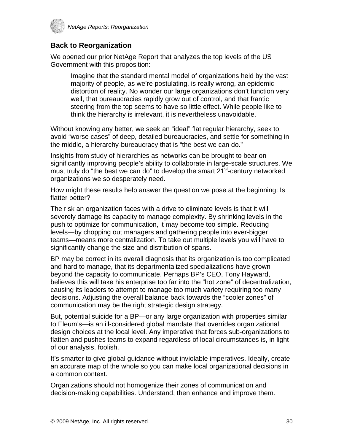<span id="page-29-0"></span>

### **Back to Reorganization**

We opened our prior NetAge Report that analyzes the top levels of the US Government with this proposition:

Imagine that the standard mental model of organizations held by the vast majority of people, as we're postulating, is really wrong, an epidemic distortion of reality. No wonder our large organizations don't function very well, that bureaucracies rapidly grow out of control, and that frantic steering from the top seems to have so little effect. While people like to think the hierarchy is irrelevant, it is nevertheless unavoidable.

Without knowing any better, we seek an "ideal" flat regular hierarchy, seek to avoid "worse cases" of deep, detailed bureaucracies, and settle for something in the middle, a hierarchy-bureaucracy that is "the best we can do."

Insights from study of hierarchies as networks can be brought to bear on significantly improving people's ability to collaborate in large-scale structures. We must truly do "the best we can do" to develop the smart 21<sup>st</sup>-century networked organizations we so desperately need.

How might these results help answer the question we pose at the beginning: Is flatter better?

The risk an organization faces with a drive to eliminate levels is that it will severely damage its capacity to manage complexity. By shrinking levels in the push to optimize for communication, it may become too simple. Reducing levels—by chopping out managers and gathering people into ever-bigger teams—means more centralization. To take out multiple levels you will have to significantly change the size and distribution of spans.

BP may be correct in its overall diagnosis that its organization is too complicated and hard to manage, that its departmentalized specializations have grown beyond the capacity to communicate. Perhaps BP's CEO, Tony Hayward, believes this will take his enterprise too far into the "hot zone" of decentralization, causing its leaders to attempt to manage too much variety requiring too many decisions. Adjusting the overall balance back towards the "cooler zones" of communication may be the right strategic design strategy.

But, potential suicide for a BP—or any large organization with properties similar to Eleum's—is an ill-considered global mandate that overrides organizational design choices at the local level. Any imperative that forces sub-organizations to flatten and pushes teams to expand regardless of local circumstances is, in light of our analysis, foolish.

It's smarter to give global guidance without inviolable imperatives. Ideally, create an accurate map of the whole so you can make local organizational decisions in a common context.

Organizations should not homogenize their zones of communication and decision-making capabilities. Understand, then enhance and improve them.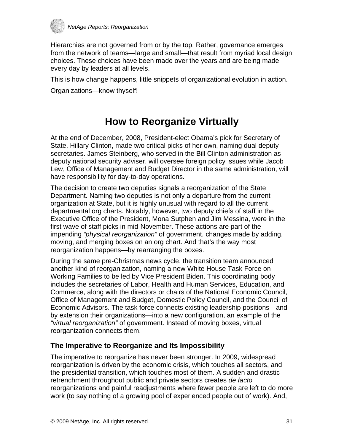<span id="page-30-0"></span>

Hierarchies are not governed from or by the top. Rather, governance emerges from the network of teams—large and small—that result from myriad local design choices. These choices have been made over the years and are being made every day by leaders at all levels.

This is how change happens, little snippets of organizational evolution in action.

Organizations—know thyself!

### **How to Reorganize Virtually**

At the end of December, 2008, President-elect Obama's pick for Secretary of State, Hillary Clinton, made two critical picks of her own, naming dual deputy secretaries. James Steinberg, who served in the Bill Clinton administration as deputy national security adviser, will oversee foreign policy issues while Jacob Lew, Office of Management and Budget Director in the same administration, will have responsibility for day-to-day operations.

The decision to create two deputies signals a reorganization of the State Department. Naming two deputies is not only a departure from the current organization at State, but it is highly unusual with regard to all the current departmental org charts. Notably, however, two deputy chiefs of staff in the Executive Office of the President, Mona Sutphen and Jim Messina, were in the first wave of staff picks in mid-November. These actions are part of the impending *"physical reorganization"* of government, changes made by adding, moving, and merging boxes on an org chart. And that's the way most reorganization happens—by rearranging the boxes.

During the same pre-Christmas news cycle, the transition team announced another kind of reorganization, naming a new White House Task Force on Working Families to be led by Vice President Biden. This coordinating body includes the secretaries of Labor, Health and Human Services, Education, and Commerce, along with the directors or chairs of the National Economic Council, Office of Management and Budget, Domestic Policy Council, and the Council of Economic Advisors. The task force connects existing leadership positions—and by extension their organizations—into a new configuration, an example of the *"virtual reorganization"* of government. Instead of moving boxes, virtual reorganization connects them.

### **The Imperative to Reorganize and Its Impossibility**

The imperative to reorganize has never been stronger. In 2009, widespread reorganization is driven by the economic crisis, which touches all sectors, and the presidential transition, which touches most of them. A sudden and drastic retrenchment throughout public and private sectors creates *de facto* reorganizations and painful readjustments where fewer people are left to do more work (to say nothing of a growing pool of experienced people out of work). And,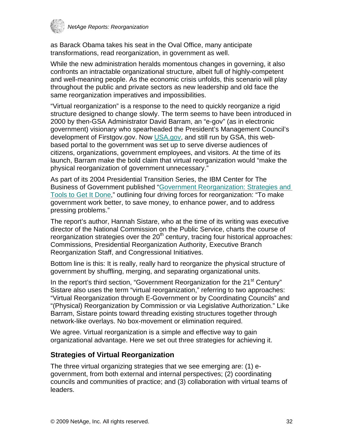<span id="page-31-0"></span>

as Barack Obama takes his seat in the Oval Office, many anticipate transformations, read reorganization, in government as well.

While the new administration heralds momentous changes in governing, it also confronts an intractable organizational structure, albeit full of highly-competent and well-meaning people. As the economic crisis unfolds, this scenario will play throughout the public and private sectors as new leadership and old face the same reorganization imperatives and impossibilities.

"Virtual reorganization" is a response to the need to quickly reorganize a rigid structure designed to change slowly. The term seems to have been introduced in 2000 by then-GSA Administrator David Barram, an "e-gov" (as in electronic government) visionary who spearheaded the President's Management Council's development of Firstgov.gov. Now [USA.gov](http://www.usa.gov/), and still run by GSA, this webbased portal to the government was set up to serve diverse audiences of citizens, organizations, government employees, and visitors. At the time of its launch, Barram make the bold claim that virtual reorganization would "make the physical reorganization of government unnecessary."

As part of its 2004 Presidential Transition Series, the IBM Center for The Business of Government published ["Government Reorganization: Strategies and](http://www.businessofgovernment.org/pdfs/SistareReport.pdf)  [Tools to Get It Done](http://www.businessofgovernment.org/pdfs/SistareReport.pdf)," outlining four driving forces for reorganization: "To make government work better, to save money, to enhance power, and to address pressing problems."

The report's author, Hannah Sistare, who at the time of its writing was executive director of the National Commission on the Public Service, charts the course of reorganization strategies over the  $20<sup>th</sup>$  century, tracing four historical approaches: Commissions, Presidential Reorganization Authority, Executive Branch Reorganization Staff, and Congressional Initiatives.

Bottom line is this: It is really, really hard to reorganize the physical structure of government by shuffling, merging, and separating organizational units.

In the report's third section, "Government Reorganization for the  $21<sup>st</sup>$  Century" Sistare also uses the term "virtual reorganization," referring to two approaches: "Virtual Reorganization through E-Government or by Coordinating Councils" and "(Physical) Reorganization by Commission or via Legislative Authorization." Like Barram, Sistare points toward threading existing structures together through network-like overlays. No box-movement or elimination required.

We agree. Virtual reorganization is a simple and effective way to gain organizational advantage. Here we set out three strategies for achieving it.

### **Strategies of Virtual Reorganization**

The three virtual organizing strategies that we see emerging are: (1) egovernment, from both external and internal perspectives; (2) coordinating councils and communities of practice; and (3) collaboration with virtual teams of leaders.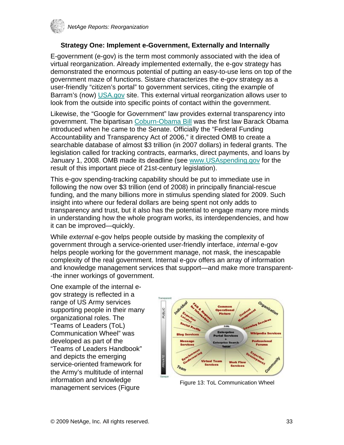

### **Strategy One: Implement e-Government, Externally and Internally**

E-government (e-gov) is the term most commonly associated with the idea of virtual reorganization. Already implemented externally, the e-gov strategy has demonstrated the enormous potential of putting an easy-to-use lens on top of the government maze of functions. Sistare characterizes the e-gov strategy as a user-friendly "citizen's portal" to government services, citing the example of Barram's (now) [USA.gov](http://www.usa.gov/) site. This external virtual reorganization allows user to look from the outside into specific points of contact within the government.

Likewise, the "Google for Government" law provides external transparency into government. The bipartisan [Coburn-Obama Bill](http://www.netage.com/economics/gov/googleGov.html) was the first law Barack Obama introduced when he came to the Senate. Officially the "Federal Funding Accountability and Transparency Act of 2006," it directed OMB to create a searchable database of almost \$3 trillion (in 2007 dollars) in federal grants. The legislation called for tracking contracts, earmarks, direct payments, and loans by January 1, 2008. OMB made its deadline (see [www.USAspending.gov](http://www.usaspending.gov/) for the result of this important piece of 21st-century legislation).

This e-gov spending-tracking capability should be put to immediate use in following the now over \$3 trillion (end of 2008) in principally financial-rescue funding, and the many billions more in stimulus spending slated for 2009. Such insight into where our federal dollars are being spent not only adds to transparency and trust, but it also has the potential to engage many more minds in understanding how the whole program works, its interdependencies, and how it can be improved—quickly.

While *external* e-gov helps people outside by masking the complexity of government through a service-oriented user-friendly interface, *internal* e-gov helps people working for the government manage, not mask, the inescapable complexity of the real government. Internal e-gov offers an array of information and knowledge management services that support—and make more transparent- -the inner workings of government.

One example of the internal egov strategy is reflected in a range of US Army services supporting people in their many organizational roles. The "Teams of Leaders (ToL) Communication Wheel" was developed as part of the "Teams of Leaders Handbook" and depicts the emerging service-oriented framework for the Army's multitude of internal information and knowledge miloritiation and Khowledge<br>management services (Figure Figure Figure 13: ToL Communication Wheel

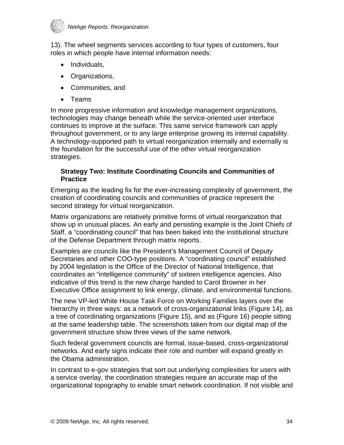

13). The wheel segments services according to four types of customers, four roles in which people have internal information needs:

- Individuals,
- Organizations,
- Communities, and
- Teams

In more progressive information and knowledge management organizations, technologies may change beneath while the service-oriented user interface continues to improve at the surface. This same service framework can apply throughout government, or to any large enterprise growing its internal capability. A technology-supported path to virtual reorganization internally and externally is the foundation for the successful use of the other virtual reorganization strategies.

#### **Strategy Two: Institute Coordinating Councils and Communities of Practice**

Emerging as the leading fix for the ever-increasing complexity of government, the creation of coordinating councils and communities of practice represent the second strategy for virtual reorganization.

Matrix organizations are relatively primitive forms of virtual reorganization that show up in unusual places. An early and persisting example is the Joint Chiefs of Staff, a "coordinating council" that has been baked into the institutional structure of the Defense Department through matrix reports.

Examples are councils like the President's Management Council of Deputy Secretaries and other COO-type positions. A "coordinating council" established by 2004 legislation is the Office of the Director of National Intelligence, that coordinates an "intelligence community" of sixteen intelligence agencies. Also indicative of this trend is the new charge handed to Carol Browner in her Executive Office assignment to link energy, climate, and environmental functions.

The new VP-led White House Task Force on Working Families layers over the hierarchy in three ways: as a network of cross-organizational links (Figure 14), as a tree of coordinating organizations (Figure 15), and as (Figure 16) people sitting at the same leadership table. The screenshots taken from our digital map of the government structure show three views of the same network.

Such federal government councils are formal, issue-based, cross-organizational networks. And early signs indicate their role and number will expand greatly in the Obama administration.

In contrast to e-gov strategies that sort out underlying complexities for users with a service overlay, the coordination strategies require an accurate map of the organizational topography to enable smart network coordination. If not visible and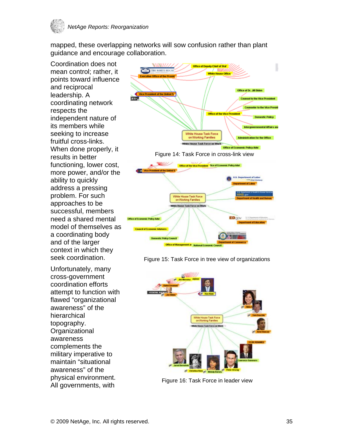

mapped, these overlapping networks will sow confusion rather than plant guidance and encourage collaboration.

Coordination does not mean control; rather, it points toward influence and reciprocal leadership. A coordinating network respects the independent nature of its members while seeking to increase fruitful cross-links. When done properly, it results in better functioning, lower cost, more power, and/or the ability to quickly address a pressing problem. For such approaches to be successful, members need a shared mental model of themselves as a coordinating body and of the larger context in which they seek coordination.

Unfortunately, many cross-government coordination efforts attempt to function with flawed "organizational awareness" of the hierarchical topography. **Organizational** awareness complements the military imperative to maintain "situational awareness" of the physical environment. All governments, with



Figure 15: Task Force in tree view of organizations



Figure 16: Task Force in leader view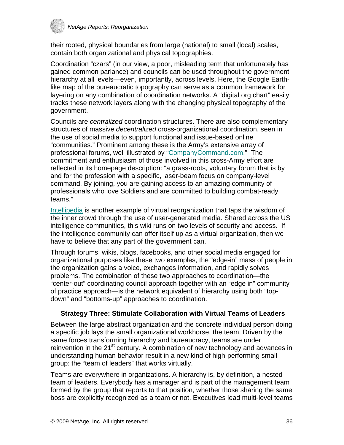

their rooted, physical boundaries from large (national) to small (local) scales, contain both organizational and physical topographies.

Coordination "czars" (in our view, a poor, misleading term that unfortunately has gained common parlance) and councils can be used throughout the government hierarchy at all levels—even, importantly, across levels. Here, the Google Earthlike map of the bureaucratic topography can serve as a common framework for layering on any combination of coordination networks. A "digital org chart" easily tracks these network layers along with the changing physical topography of the government.

Councils are *centralized* coordination structures. There are also complementary structures of massive *decentralized* cross-organizational coordination, seen in the use of social media to support functional and issue-based online "communities." Prominent among these is the Army's extensive array of professional forums, well illustrated by ["CompanyCommand.com.](http://companycommand.army.mil/)" The commitment and enthusiasm of those involved in this cross-Army effort are reflected in its homepage description: "a grass-roots, voluntary forum that is by and for the profession with a specific, laser-beam focus on company-level command. By joining, you are gaining access to an amazing community of professionals who love Soldiers and are committed to building combat-ready teams."

[Intellipedia](http://en.wikipedia.org/wiki/Intellipedia) is another example of virtual reorganization that taps the wisdom of the inner crowd through the use of user-generated media. Shared across the US intelligence communities, this wiki runs on two levels of security and access. If the intelligence community can offer itself up as a virtual organization, then we have to believe that any part of the government can.

Through forums, wikis, blogs, facebooks, and other social media engaged for organizational purposes like these two examples, the "edge-in" mass of people in the organization gains a voice, exchanges information, and rapidly solves problems. The combination of these two approaches to coordination—the "center-out" coordinating council approach together with an "edge in" community of practice approach—is the network equivalent of hierarchy using both "topdown" and "bottoms-up" approaches to coordination.

### **Strategy Three: Stimulate Collaboration with Virtual Teams of Leaders**

Between the large abstract organization and the concrete individual person doing a specific job lays the small organizational workhorse, the team. Driven by the same forces transforming hierarchy and bureaucracy, teams are under reinvention in the 21<sup>st</sup> century. A combination of new technology and advances in understanding human behavior result in a new kind of high-performing small group: the "team of leaders" that works virtually.

Teams are everywhere in organizations. A hierarchy is, by definition, a nested team of leaders. Everybody has a manager and is part of the management team formed by the group that reports to that position, whether those sharing the same boss are explicitly recognized as a team or not. Executives lead multi-level teams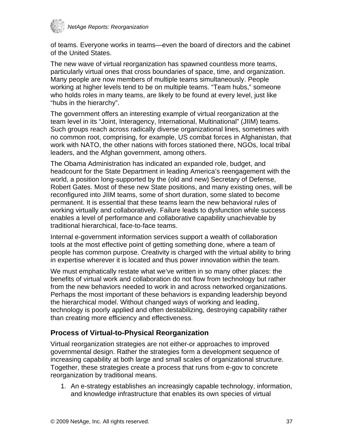<span id="page-36-0"></span>

of teams. Everyone works in teams—even the board of directors and the cabinet of the United States.

The new wave of virtual reorganization has spawned countless more teams, particularly virtual ones that cross boundaries of space, time, and organization. Many people are now members of multiple teams simultaneously. People working at higher levels tend to be on multiple teams. "Team hubs," someone who holds roles in many teams, are likely to be found at every level, just like "hubs in the hierarchy".

The government offers an interesting example of virtual reorganization at the team level in its "Joint, Interagency, International, Multinational" (JIIM) teams. Such groups reach across radically diverse organizational lines, sometimes with no common root, comprising, for example, US combat forces in Afghanistan, that work with NATO, the other nations with forces stationed there, NGOs, local tribal leaders, and the Afghan government, among others.

The Obama Administration has indicated an expanded role, budget, and headcount for the State Department in leading America's reengagement with the world, a position long-supported by the (old and new) Secretary of Defense, Robert Gates. Most of these new State positions, and many existing ones, will be reconfigured into JIIM teams, some of short duration, some slated to become permanent. It is essential that these teams learn the new behavioral rules of working virtually and collaboratively. Failure leads to dysfunction while success enables a level of performance and collaborative capability unachievable by traditional hierarchical, face-to-face teams.

Internal e-government information services support a wealth of collaboration tools at the most effective point of getting something done, where a team of people has common purpose. Creativity is charged with the virtual ability to bring in expertise wherever it is located and thus power innovation within the team.

We must emphatically restate what we've written in so many other places: the benefits of virtual work and collaboration do not flow from technology but rather from the new behaviors needed to work in and across networked organizations. Perhaps the most important of these behaviors is expanding leadership beyond the hierarchical model. Without changed ways of working and leading, technology is poorly applied and often destabilizing, destroying capability rather than creating more efficiency and effectiveness.

### **Process of Virtual-to-Physical Reorganization**

Virtual reorganization strategies are not either-or approaches to improved governmental design. Rather the strategies form a development sequence of increasing capability at both large and small scales of organizational structure. Together, these strategies create a process that runs from e-gov to concrete reorganization by traditional means.

1. An e-strategy establishes an increasingly capable technology, information, and knowledge infrastructure that enables its own species of virtual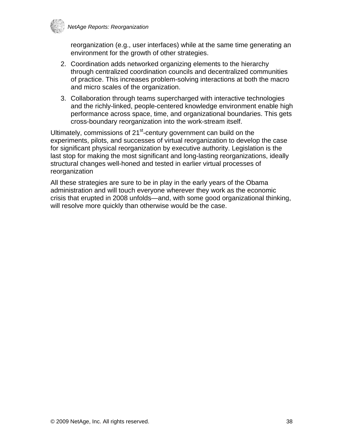

reorganization (e.g., user interfaces) while at the same time generating an environment for the growth of other strategies.

- 2. Coordination adds networked organizing elements to the hierarchy through centralized coordination councils and decentralized communities of practice. This increases problem-solving interactions at both the macro and micro scales of the organization.
- 3. Collaboration through teams supercharged with interactive technologies and the richly-linked, people-centered knowledge environment enable high performance across space, time, and organizational boundaries. This gets cross-boundary reorganization into the work-stream itself.

Ultimately, commissions of 21<sup>st</sup>-century government can build on the experiments, pilots, and successes of virtual reorganization to develop the case for significant physical reorganization by executive authority. Legislation is the last stop for making the most significant and long-lasting reorganizations, ideally structural changes well-honed and tested in earlier virtual processes of reorganization

All these strategies are sure to be in play in the early years of the Obama administration and will touch everyone wherever they work as the economic crisis that erupted in 2008 unfolds—and, with some good organizational thinking, will resolve more quickly than otherwise would be the case.